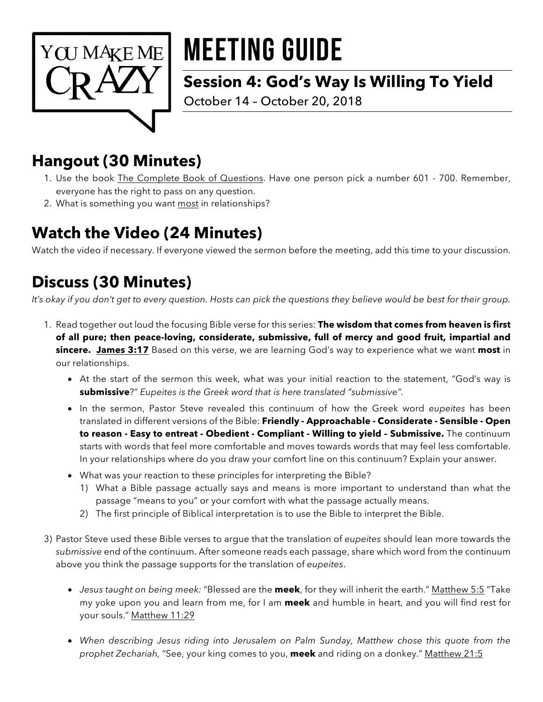

# MEETING GUIDE

## **Session 4: God's Way Is Willing To Yield**

October 14 – October 20, 2018

# **Hangout (30 Minutes)**

- 1. Use the book *The Complete Book of Questions*. Have one person pick a number 601 700. Remember, everyone has the right to pass on any question.
- 2. What is something you want most in relationships?

# **Watch the Video (24 Minutes)**

Watch the video if necessary. If everyone viewed the sermon before the meeting, add this time to your discussion.

# **Discuss (30 Minutes)**

*It's okay if you don't get to every question. Hosts can pick the questions they believe would be best for their group.* 

- 1. Read together out loud the focusing Bible verse for this series: **The wisdom that comes from heaven is first of all pure; then peace-loving, considerate, submissive, full of mercy and good fruit, impartial and sincere. James 3:17** Based on this verse, we are learning God's way to experience what we want **most** in our relationships.
	- At the start of the sermon this week, what was your initial reaction to the statement, "God's way is **submissive**?" *Eupeites is the Greek word that is here translated "submissive".*
	- In the sermon, Pastor Steve revealed this continuum of how the Greek word *eupeites* has been translated in different versions of the Bible: **Friendly - Approachable - Considerate - Sensible - Open to reason - Easy to entreat - Obedient - Compliant - Willing to yield – Submissive.** The continuum starts with words that feel more comfortable and moves towards words that may feel less comfortable. In your relationships where do you draw your comfort line on this continuum? Explain your answer.
	- What was your reaction to these principles for interpreting the Bible?
		- 1) What a Bible passage actually says and means is more important to understand than what the passage "means to you" or your comfort with what the passage actually means.
		- 2) The first principle of Biblical interpretation is to use the Bible to interpret the Bible.
- 3) Pastor Steve used these Bible verses to argue that the translation of *eupeites* should lean more towards the *submissive* end of the continuum. After someone reads each passage, share which word from the continuum above you think the passage supports for the translation of *eupeites*.
	- *Jesus taught on being meek:* "Blessed are the **meek**, for they will inherit the earth." Matthew 5:5 "Take my yoke upon you and learn from me, for I am **meek** and humble in heart, and you will find rest for your souls." Matthew 11:29
	- *When describing Jesus riding into Jerusalem on Palm Sunday, Matthew chose this quote from the prophet Zechariah,* "See, your king comes to you, **meek** and riding on a donkey." Matthew 21:5